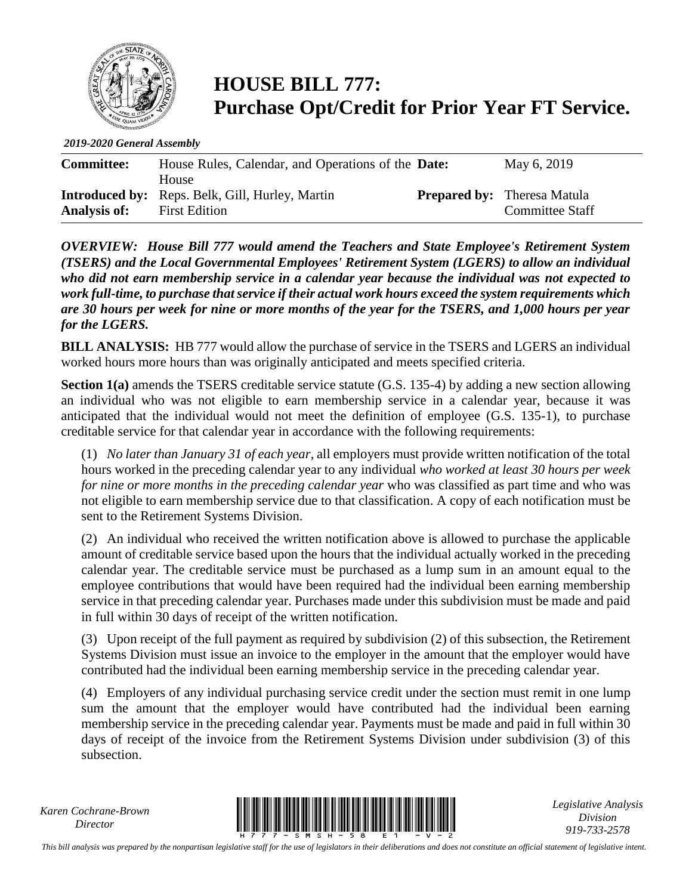

## **HOUSE BILL 777: Purchase Opt/Credit for Prior Year FT Service.**

*2019-2020 General Assembly*

| <b>Committee:</b> | House Rules, Calendar, and Operations of the <b>Date:</b>                                      | May 6, 2019                                                  |
|-------------------|------------------------------------------------------------------------------------------------|--------------------------------------------------------------|
| Analysis of:      | <b>House</b><br><b>Introduced by:</b> Reps. Belk, Gill, Hurley, Martin<br><b>First Edition</b> | <b>Prepared by:</b> Theresa Matula<br><b>Committee Staff</b> |

*OVERVIEW: House Bill 777 would amend the Teachers and State Employee's Retirement System (TSERS) and the Local Governmental Employees' Retirement System (LGERS) to allow an individual who did not earn membership service in a calendar year because the individual was not expected to work full-time, to purchase that service if their actual work hours exceed the system requirements which are 30 hours per week for nine or more months of the year for the TSERS, and 1,000 hours per year for the LGERS.* 

**BILL ANALYSIS:** HB 777 would allow the purchase of service in the TSERS and LGERS an individual worked hours more hours than was originally anticipated and meets specified criteria.

**Section 1(a)** amends the TSERS creditable service statute (G.S. 135-4) by adding a new section allowing an individual who was not eligible to earn membership service in a calendar year, because it was anticipated that the individual would not meet the definition of employee (G.S. 135-1), to purchase creditable service for that calendar year in accordance with the following requirements:

(1) *No later than January 31 of each year*, all employers must provide written notification of the total hours worked in the preceding calendar year to any individual *who worked at least 30 hours per week*  for nine or more months in the preceding calendar year who was classified as part time and who was not eligible to earn membership service due to that classification. A copy of each notification must be sent to the Retirement Systems Division.

(2) An individual who received the written notification above is allowed to purchase the applicable amount of creditable service based upon the hours that the individual actually worked in the preceding calendar year. The creditable service must be purchased as a lump sum in an amount equal to the employee contributions that would have been required had the individual been earning membership service in that preceding calendar year. Purchases made under this subdivision must be made and paid in full within 30 days of receipt of the written notification.

(3) Upon receipt of the full payment as required by subdivision (2) of this subsection, the Retirement Systems Division must issue an invoice to the employer in the amount that the employer would have contributed had the individual been earning membership service in the preceding calendar year.

(4) Employers of any individual purchasing service credit under the section must remit in one lump sum the amount that the employer would have contributed had the individual been earning membership service in the preceding calendar year. Payments must be made and paid in full within 30 days of receipt of the invoice from the Retirement Systems Division under subdivision (3) of this subsection.

*Karen Cochrane-Brown*



*Legislative Analysis Division 919-733-2578*

*This bill analysis was prepared by the nonpartisan legislative staff for the use of legislators in their deliberations and does not constitute an official statement of legislative intent.*